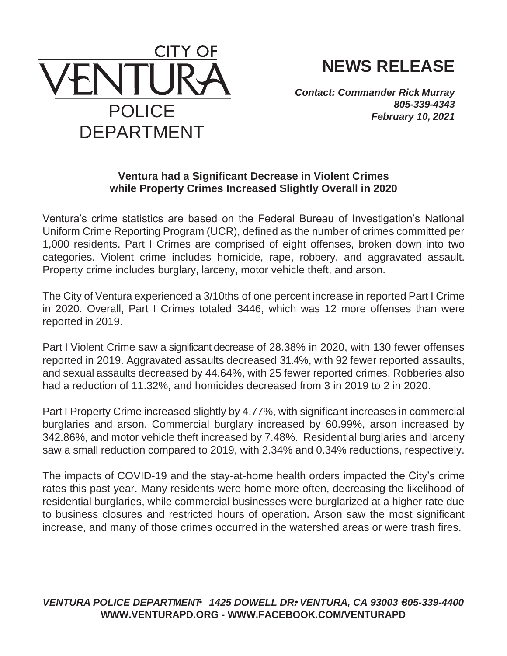

## **NEWS RELEASE**

*Contact: Commander Rick Murray 805-339-4343 February 10, 2021*

## **Ventura had a Significant Decrease in Violent Crimes while Property Crimes Increased Slightly Overall in 2020**

Ventura's crime statistics are based on the Federal Bureau of Investigation's National Uniform Crime Reporting Program (UCR), defined as the number of crimes committed per 1,000 residents. Part I Crimes are comprised of eight offenses, broken down into two categories. Violent crime includes homicide, rape, robbery, and aggravated assault. Property crime includes burglary, larceny, motor vehicle theft, and arson.

The City of Ventura experienced a 3/10ths of one percent increase in reported Part I Crime in 2020. Overall, Part I Crimes totaled 3446, which was 12 more offenses than were reported in 2019.

Part I Violent Crime saw a significant decrease of 28.38% in 2020, with 130 fewer offenses reported in 2019. Aggravated assaults decreased 31.4%, with 92 fewer reported assaults, and sexual assaults decreased by 44.64%, with 25 fewer reported crimes. Robberies also had a reduction of 11.32%, and homicides decreased from 3 in 2019 to 2 in 2020.

Part I Property Crime increased slightly by 4.77%, with significant increases in commercial burglaries and arson. Commercial burglary increased by 60.99%, arson increased by 342.86%, and motor vehicle theft increased by 7.48%. Residential burglaries and larceny saw a small reduction compared to 2019, with 2.34% and 0.34% reductions, respectively.

The impacts of COVID-19 and the stay-at-home health orders impacted the City's crime rates this past year. Many residents were home more often, decreasing the likelihood of residential burglaries, while commercial businesses were burglarized at a higher rate due to business closures and restricted hours of operation. Arson saw the most significant increase, and many of those crimes occurred in the watershed areas or were trash fires.

## *VENTURA POLICE DEPARTMENT 1425 DOWELL DR. VENTURA, CA 93003 805-339-4400* **[WWW.VENTURAPD.ORG -](http://www.venturapd.org/) [WWW.FACEBOOK.COM/VENTURAPD](http://www.facebook.com/VENTURAPD)**